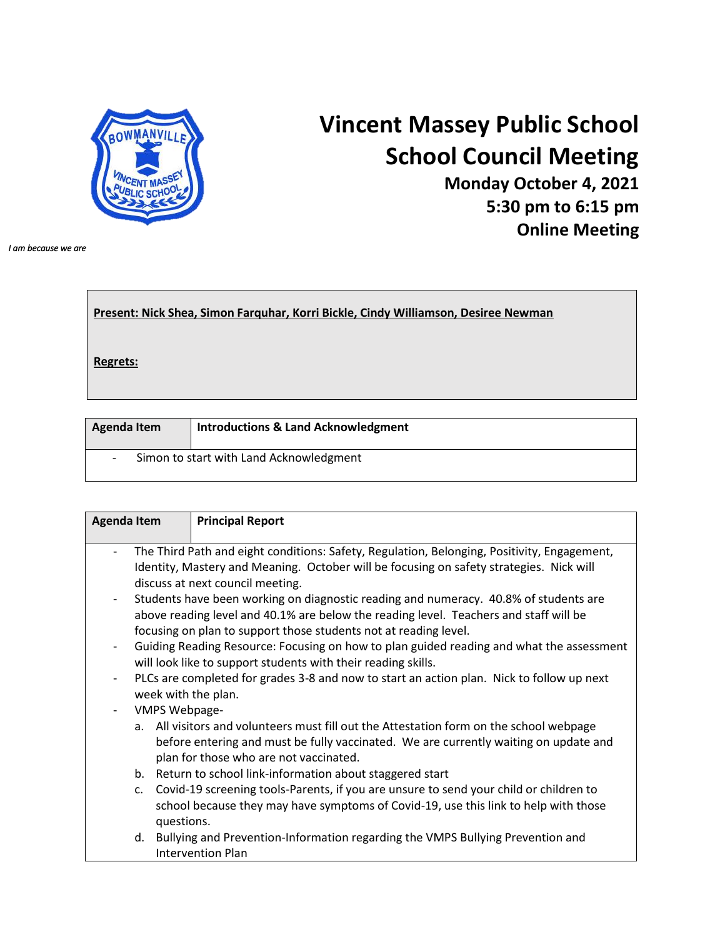

## **Vincent Massey Public School School Council Meeting**

**Monday October 4, 2021 5:30 pm to 6:15 pm Online Meeting**

*I am because we are* 

| Present: Nick Shea, Simon Farquhar, Korri Bickle, Cindy Williamson, Desiree Newman |  |
|------------------------------------------------------------------------------------|--|
| Regrets:                                                                           |  |
|                                                                                    |  |

| Agenda Item                             | <b>Introductions &amp; Land Acknowledgment</b> |
|-----------------------------------------|------------------------------------------------|
| Simon to start with Land Acknowledgment |                                                |

| <b>Agenda Item</b>       |                                                                                           | <b>Principal Report</b>                                                                     |  |  |
|--------------------------|-------------------------------------------------------------------------------------------|---------------------------------------------------------------------------------------------|--|--|
|                          |                                                                                           | The Third Path and eight conditions: Safety, Regulation, Belonging, Positivity, Engagement, |  |  |
|                          | Identity, Mastery and Meaning. October will be focusing on safety strategies. Nick will   |                                                                                             |  |  |
|                          |                                                                                           | discuss at next council meeting.                                                            |  |  |
| $\overline{\phantom{a}}$ | Students have been working on diagnostic reading and numeracy. 40.8% of students are      |                                                                                             |  |  |
|                          | above reading level and 40.1% are below the reading level. Teachers and staff will be     |                                                                                             |  |  |
|                          | focusing on plan to support those students not at reading level.                          |                                                                                             |  |  |
| $\overline{\phantom{a}}$ | Guiding Reading Resource: Focusing on how to plan guided reading and what the assessment  |                                                                                             |  |  |
|                          | will look like to support students with their reading skills.                             |                                                                                             |  |  |
| $\overline{\phantom{a}}$ | PLCs are completed for grades 3-8 and now to start an action plan. Nick to follow up next |                                                                                             |  |  |
|                          | week with the plan.                                                                       |                                                                                             |  |  |
|                          | <b>VMPS Webpage-</b>                                                                      |                                                                                             |  |  |
|                          |                                                                                           | a. All visitors and volunteers must fill out the Attestation form on the school webpage     |  |  |
|                          |                                                                                           | before entering and must be fully vaccinated. We are currently waiting on update and        |  |  |
|                          |                                                                                           | plan for those who are not vaccinated.                                                      |  |  |
|                          |                                                                                           | b. Return to school link-information about staggered start                                  |  |  |
|                          | $\mathsf{C}$ .                                                                            | Covid-19 screening tools-Parents, if you are unsure to send your child or children to       |  |  |
|                          |                                                                                           | school because they may have symptoms of Covid-19, use this link to help with those         |  |  |
|                          | questions.                                                                                |                                                                                             |  |  |
|                          |                                                                                           | d. Bullying and Prevention-Information regarding the VMPS Bullying Prevention and           |  |  |
|                          |                                                                                           | <b>Intervention Plan</b>                                                                    |  |  |